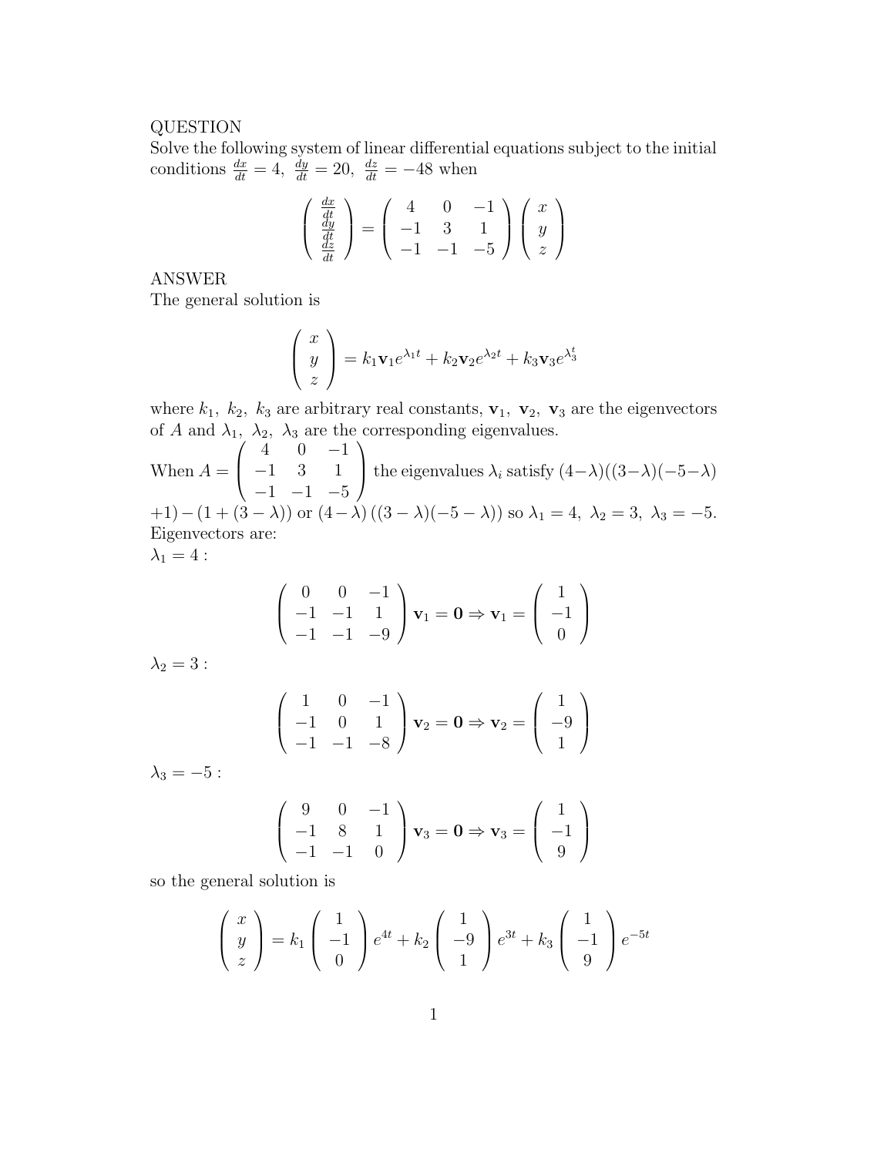## QUESTION

Solve the following system of linear differential equations subject to the initial conditions  $\frac{dx}{dt} = 4$ ,  $\frac{dy}{dt} = 20$ ,  $\frac{dz}{dt} = -48$  when

$$
\begin{pmatrix}\n\frac{dx}{dt} \\
\frac{dy}{dt} \\
\frac{dz}{dt}\n\end{pmatrix} = \begin{pmatrix}\n4 & 0 & -1 \\
-1 & 3 & 1 \\
-1 & -1 & -5\n\end{pmatrix} \begin{pmatrix}\nx \\
y \\
z\n\end{pmatrix}
$$

ANSWER

The general solution is

$$
\begin{pmatrix} x \ y \ z \end{pmatrix} = k_1 \mathbf{v}_1 e^{\lambda_1 t} + k_2 \mathbf{v}_2 e^{\lambda_2 t} + k_3 \mathbf{v}_3 e^{\lambda_3^t}
$$

where  $k_1$ ,  $k_2$ ,  $k_3$  are arbitrary real constants,  $\mathbf{v}_1$ ,  $\mathbf{v}_2$ ,  $\mathbf{v}_3$  are the eigenvectors of A and  $\lambda_1$ ,  $\lambda_2$ ,  $\lambda_3$  are the corresponding eigenvalues.

When  $A =$  $\sqrt{ }$  $\overline{\phantom{a}}$  $4 \t 0 \t -1$ −1 3 1  $-1$   $-1$   $-5$  $\setminus$ the eigenvalues  $\lambda_i$  satisfy  $(4-\lambda)((3-\lambda)(-5-\lambda))$  $+1)-(1+(3-\lambda))$  or  $(4-\lambda)((3-\lambda)(-5-\lambda))$  so  $\lambda_1=4$ ,  $\lambda_2=3$ ,  $\lambda_3=-5$ . Eigenvectors are:  $\lambda_1 = 4$  :

$$
\begin{pmatrix} 0 & 0 & -1 \\ -1 & -1 & 1 \\ -1 & -1 & -9 \end{pmatrix} \mathbf{v}_1 = \mathbf{0} \Rightarrow \mathbf{v}_1 = \begin{pmatrix} 1 \\ -1 \\ 0 \end{pmatrix}
$$

 $\lambda_2 = 3$  :

$$
\begin{pmatrix} 1 & 0 & -1 \ -1 & 0 & 1 \ -1 & -1 & -8 \end{pmatrix} \mathbf{v}_2 = \mathbf{0} \Rightarrow \mathbf{v}_2 = \begin{pmatrix} 1 \\ -9 \\ 1 \end{pmatrix}
$$

 $\lambda_3 = -5$  :

$$
\begin{pmatrix} 9 & 0 & -1 \\ -1 & 8 & 1 \\ -1 & -1 & 0 \end{pmatrix} \mathbf{v}_3 = \mathbf{0} \Rightarrow \mathbf{v}_3 = \begin{pmatrix} 1 \\ -1 \\ 9 \end{pmatrix}
$$

so the general solution is

 $\sqrt{ }$ 

 $\overline{ }$ 

$$
\begin{pmatrix} x \\ y \\ z \end{pmatrix} = k_1 \begin{pmatrix} 1 \\ -1 \\ 0 \end{pmatrix} e^{4t} + k_2 \begin{pmatrix} 1 \\ -9 \\ 1 \end{pmatrix} e^{3t} + k_3 \begin{pmatrix} 1 \\ -1 \\ 9 \end{pmatrix} e^{-5t}
$$